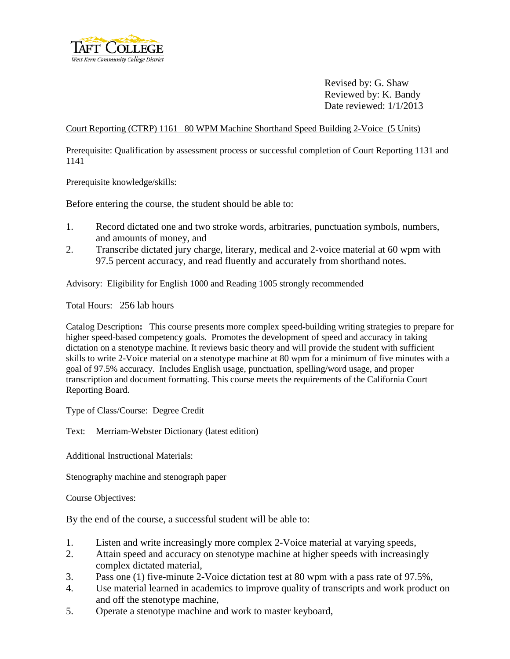

Revised by: G. Shaw Reviewed by: K. Bandy Date reviewed: 1/1/2013

Court Reporting (CTRP) 1161 80 WPM Machine Shorthand Speed Building 2-Voice (5 Units)

Prerequisite: Qualification by assessment process or successful completion of Court Reporting 1131 and 1141

Prerequisite knowledge/skills:

Before entering the course, the student should be able to:

- 1. Record dictated one and two stroke words, arbitraries, punctuation symbols, numbers, and amounts of money, and
- 2. Transcribe dictated jury charge, literary, medical and 2-voice material at 60 wpm with 97.5 percent accuracy, and read fluently and accurately from shorthand notes.

Advisory: Eligibility for English 1000 and Reading 1005 strongly recommended

Total Hours: 256 lab hours

Catalog Description**:** This course presents more complex speed-building writing strategies to prepare for higher speed-based competency goals. Promotes the development of speed and accuracy in taking dictation on a stenotype machine. It reviews basic theory and will provide the student with sufficient skills to write 2-Voice material on a stenotype machine at 80 wpm for a minimum of five minutes with a goal of 97.5% accuracy. Includes English usage, punctuation, spelling/word usage, and proper transcription and document formatting. This course meets the requirements of the California Court Reporting Board.

Type of Class/Course: Degree Credit

Text: Merriam-Webster Dictionary (latest edition)

Additional Instructional Materials:

Stenography machine and stenograph paper

Course Objectives:

By the end of the course, a successful student will be able to:

- 1. Listen and write increasingly more complex 2-Voice material at varying speeds,
- 2. Attain speed and accuracy on stenotype machine at higher speeds with increasingly complex dictated material,
- 3. Pass one (1) five-minute 2-Voice dictation test at 80 wpm with a pass rate of 97.5%,
- 4. Use material learned in academics to improve quality of transcripts and work product on and off the stenotype machine,
- 5. Operate a stenotype machine and work to master keyboard,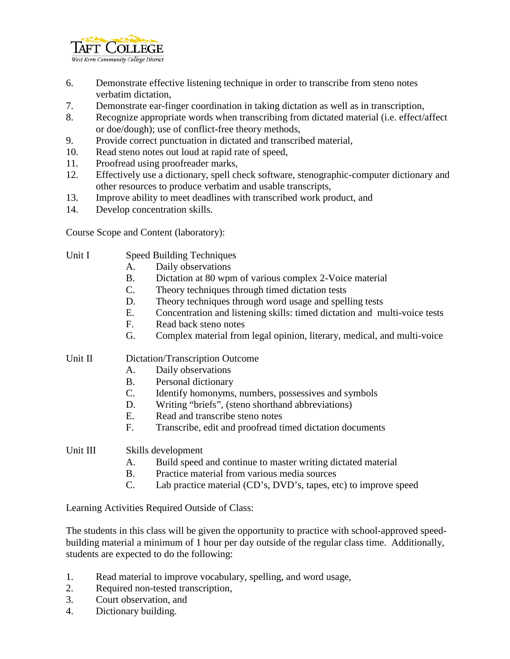

- 6. Demonstrate effective listening technique in order to transcribe from steno notes verbatim dictation,
- 7. Demonstrate ear-finger coordination in taking dictation as well as in transcription,
- 8. Recognize appropriate words when transcribing from dictated material (i.e. effect/affect or doe/dough); use of conflict-free theory methods,
- 9. Provide correct punctuation in dictated and transcribed material,
- 10. Read steno notes out loud at rapid rate of speed,
- 11. Proofread using proofreader marks,
- 12. Effectively use a dictionary, spell check software, stenographic-computer dictionary and other resources to produce verbatim and usable transcripts,
- 13. Improve ability to meet deadlines with transcribed work product, and
- 14. Develop concentration skills.

Course Scope and Content (laboratory):

- Unit I Speed Building Techniques
	- A. Daily observations
	- B. Dictation at 80 wpm of various complex 2-Voice material
	- C. Theory techniques through timed dictation tests
	- D. Theory techniques through word usage and spelling tests
	- E. Concentration and listening skills: timed dictation and multi-voice tests
	- F. Read back steno notes
	- G. Complex material from legal opinion, literary, medical, and multi-voice

Unit II Dictation/Transcription Outcome

- A. Daily observations
- B. Personal dictionary
- C. Identify homonyms, numbers, possessives and symbols
- D. Writing "briefs", (steno shorthand abbreviations)
- E. Read and transcribe steno notes
- F. Transcribe, edit and proofread timed dictation documents

Unit III Skills development

- A. Build speed and continue to master writing dictated material
- B. Practice material from various media sources
- C. Lab practice material (CD's, DVD's, tapes, etc) to improve speed

Learning Activities Required Outside of Class:

The students in this class will be given the opportunity to practice with school-approved speedbuilding material a minimum of 1 hour per day outside of the regular class time. Additionally, students are expected to do the following:

- 1. Read material to improve vocabulary, spelling, and word usage,
- 2. Required non-tested transcription,
- 3. Court observation, and
- 4. Dictionary building.